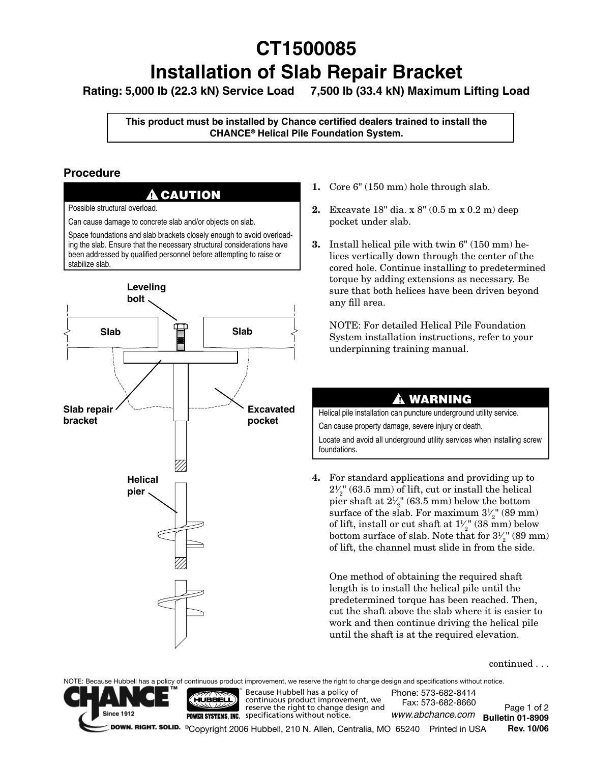# **CT1500085 Installation of Slab Repair Bracket**

**Rating: 5,000 lb (22.3 kN) Service Load 7,500 lb (33.4 kN) Maximum Lifting Load** 

**This product must be installed by Chance certified dealers trained to install the Chance® Helical Pile Foundation System.**

### **Procedure**



Possible structural overload.

Can cause damage to concrete slab and/or objects on slab.

Space foundations and slab brackets closely enough to avoid overloading the slab. Ensure that the necessary structural considerations have been addressed by qualified personnel before attempting to raise or stabilize slab.



- **1.** Core 6" (150 mm) hole through slab.
- **2.** Excavate 18" dia. x 8" (0.5 m x 0.2 m) deep pocket under slab.
- **3.** Install helical pile with twin 6" (150 mm) helices vertically down through the center of the cored hole. Continue installing to predetermined torque by adding extensions as necessary. Be sure that both helices have been driven beyond any fill area.

 NOTE: For detailed Helical Pile Foundation System installation instructions, refer to your underpinning training manual.

### ▲ **!** WARNING

Helical pile installation can puncture underground utility service. Can cause property damage, severe injury or death.

Locate and avoid all underground utility services when installing screw foundations.

**4.** For standard applications and providing up to  $2\frac{1}{2}$ " (63.5 mm) of lift, cut or install the helical ⁄  $2\frac{2}{2}$  (60.6 km) of first, each of mistant are fielded.<br>pier shaft at  $2\frac{1}{2}$  (63.5 mm) below the bottom ⁄ surface of the slab. For maximum  $3\frac{1}{2}$ " (89 mm) ⁄ of lift, install or cut shaft at  $1\frac{1}{2}$ " (38 mm) below ⁄ bottom surface of slab. Note that for  $3\frac{1}{2}$ " (89 mm) ⁄ of lift, the channel must slide in from the side.

One method of obtaining the required shaft length is to install the helical pile until the predetermined torque has been reached. Then, cut the shaft above the slab where it is easier to work and then continue driving the helical pile until the shaft is at the required elevation.

continued . . .

NOTE: Because Hubbell has a policy of continuous product improvement, we reserve the right to change design and specifications without notice.



® HÚBBELL

Because Hubbell has a policy of continuous product improvement, we reserve the right to change design and **POWER SYSTEMS, INC.** specifications without notice.

Page 1 of 2 **Bulletin 01-8909** *www.abchance.com*©Copyright 2006 Hubbell, 210 N. Allen, Centralia, MO 65240 Printed in USA **Rev. 10/06** Phone: 573-682-8414 Fax: 573-682-8660